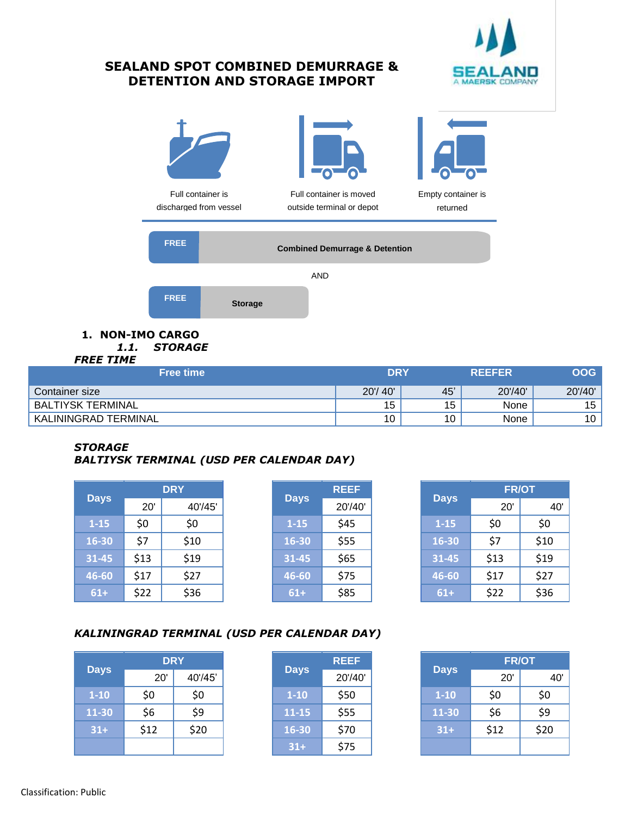

# **SEALAND SPOT COMBINED DEMURRAGE & DETENTION AND STORAGE IMPORT**



| Container size                 | 20'<br>40' | 45 | 20'/40' | 20'/40' |
|--------------------------------|------------|----|---------|---------|
| TERMINAL<br>IYSK<br><b>BAL</b> | . .<br>◡   | ◡  | None    | 15      |
| TERMINAL<br><b>KALININGRAD</b> | ໍົ<br>U    | υ  | None    | 10      |

#### *STORAGE BALTIYSK TERMINAL (USD PER CALENDAR DAY)*

| <b>Days</b> | <b>DRY</b> |         | <b>Days</b> |          | <b>REEF</b> | <b>Days</b> | <b>FR/OT</b> |          |  |
|-------------|------------|---------|-------------|----------|-------------|-------------|--------------|----------|--|
|             | 20'        | 40'/45' |             |          | 20'/40'     |             | 20'          | $\prime$ |  |
| $1 - 15$    | \$0        | \$0     |             | $1 - 15$ | \$45        | $1 - 15$    | \$0          | \$0      |  |
| 16-30       | \$7        | \$10    |             | 16-30    | \$55        | 16-30       | \$7          | \$10     |  |
| 31-45       | \$13       | \$19    |             | 31-45    | \$65        | 31-45       | \$13         | \$19     |  |
| 46-60       | \$17       | \$27    |             | 46-60    | \$75        | 46-60       | \$17         | \$27     |  |
| $61+$       | \$22       | \$36    |             | $61+$    | \$85        | $61+$       | \$22         | \$36     |  |

|             | <b>REEF</b> |
|-------------|-------------|
| <b>Days</b> | 20'/40'     |
| $1 - 15$    | \$45        |
| 16-30       | \$55        |
| 31-45       | \$65        |
| 46-60       | \$75        |
| 61+         | \$85        |

|          | <b>DRY</b> |         | <b>Days</b> |          | <b>REEF</b> | <b>Days</b> | <b>FR/OT</b> |      |  |
|----------|------------|---------|-------------|----------|-------------|-------------|--------------|------|--|
| Days     | 20'        | 40'/45' |             |          | 20'/40'     |             | 20'          | 40'  |  |
| $1 - 15$ | \$0        | \$0     |             | $1 - 15$ | \$45        | $1 - 15$    | \$0          | \$0  |  |
| $6 - 30$ | \$7        | \$10    |             | 16-30    | \$55        | 16-30       | \$7          | \$10 |  |
| $1 - 45$ | \$13       | \$19    |             | 31-45    | \$65        | 31-45       | \$13         | \$19 |  |
| $6 - 60$ | \$17       | \$27    |             | 46-60    | \$75        | 46-60       | \$17         | \$27 |  |
| $61+$    | \$22       | \$36    |             | $61+$    | \$85        | $61+$       | \$22         | \$36 |  |

## *KALININGRAD TERMINAL (USD PER CALENDAR DAY)*

| <b>Days</b> | <b>DRY</b> |         |  |             | <b>REEF</b> |             | <b>FR/OT</b> |      |  |
|-------------|------------|---------|--|-------------|-------------|-------------|--------------|------|--|
|             | 20'        | 40'/45' |  | <b>Days</b> | 20'/40'     | <b>Days</b> | 20'          |      |  |
| $1 - 10$    | \$0        | \$0     |  | $1 - 10$    | \$50        | $1 - 10$    | \$0          | \$0  |  |
| 11-30       | \$6        | \$9     |  | $11 - 15$   | \$55        | 11-30       | \$6          | \$9  |  |
| $31+$       | \$12       | \$20    |  | 16-30       | \$70        | $31+$       | \$12         | \$20 |  |
|             |            |         |  | $31+$       | \$75        |             |              |      |  |

|             | <b>REEF</b> |
|-------------|-------------|
| <b>Days</b> | 20'/40'     |
| $1 - 10$    | \$50        |
| 11-15       | \$55        |
| 16-30       | \$70        |
| $31+$       | \$75        |

|          | <b>DRY</b> |         |             | <b>REEF</b> |             | <b>FR/OT</b> |      |
|----------|------------|---------|-------------|-------------|-------------|--------------|------|
| Days     | 20'        | 40'/45' | <b>Days</b> | 20'/40'     | <b>Days</b> | 20'          |      |
| $1 - 10$ | \$0        | \$0     | $1 - 10$    | \$50        | $1 - 10$    | \$0          | \$0  |
| $1 - 30$ | \$6        | \$9     | $11 - 15$   | \$55        | 11-30       | \$6          | \$9  |
| $31+$    | \$12       | \$20    | $16 - 30$   | \$70        | $31+$       | \$12         | \$20 |
|          |            |         | $31+$       | \$75        |             |              |      |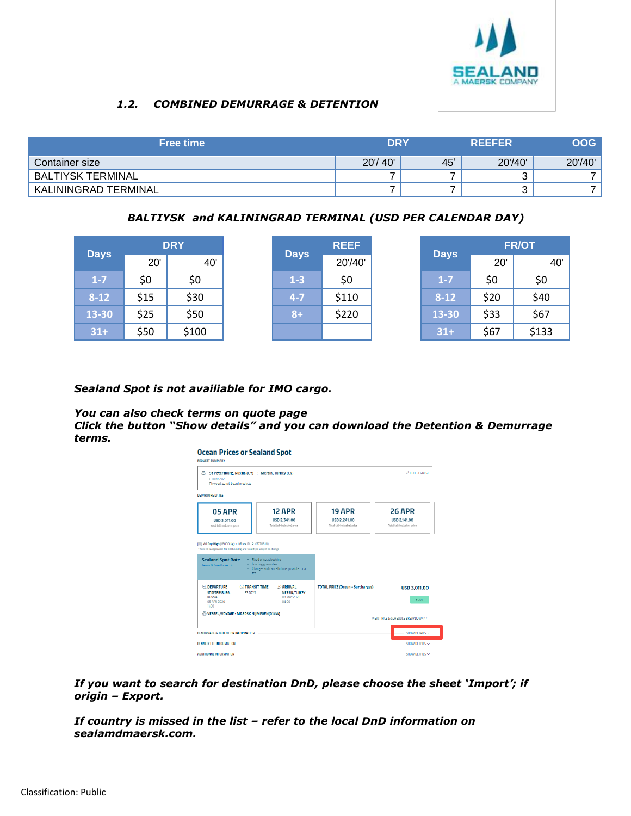

## *1.2. COMBINED DEMURRAGE & DETENTION*

| <b>Free time</b>         | <b>DRY</b> |     | <b>REEFER</b> | <b>OOG</b> |
|--------------------------|------------|-----|---------------|------------|
| Container size           | 20'/40'    | 45' | 20'/40'       | 20'/40'    |
| <b>BALTIYSK TERMINAL</b> |            |     |               |            |
| KALININGRAD TERMINAL     |            |     |               |            |

## *BALTIYSK and KALININGRAD TERMINAL (USD PER CALENDAR DAY)*

|             | <b>DRY</b> | <b>REEF</b><br><b>Days</b> |         | <b>Days</b> | <b>FR/OT</b> |      |       |
|-------------|------------|----------------------------|---------|-------------|--------------|------|-------|
| <b>Days</b> | 20'        | 40'                        |         | 20'/40'     |              | 20'  | 40'   |
| $1 - 7$     | \$0        | \$0                        | $1-3$   | \$0         | $1 - 7$      | \$0  | \$0   |
| $8 - 12$    | \$15       | \$30                       | $4 - 7$ | \$110       | $8 - 12$     | \$20 | \$40  |
| 13-30       | \$25       | \$50                       | $8+$    | \$220       | 13-30        | \$33 | \$67  |
| $31+$       | \$50       | \$100                      |         |             | $31+$        | \$67 | \$133 |

#### *Sealand Spot is not availiable for IMO cargo.*

# *You can also check terms on quote page*

*Click the button "Show details" and you can download the Detention & Demurrage terms.*



*If you want to search for destination DnD, please choose the sheet 'Import'; if origin – Export.*

*If country is missed in the list – refer to the local DnD information on sealamdmaersk.com.*